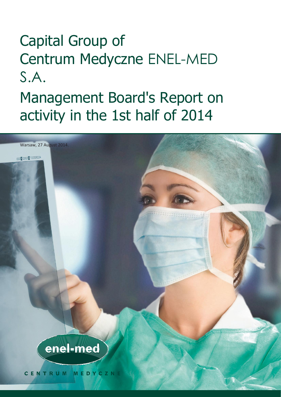# Capital Group of Centrum Medyczne ENEL-MED S.A.

# Management Board's Report on activity in the 1st half of 2014

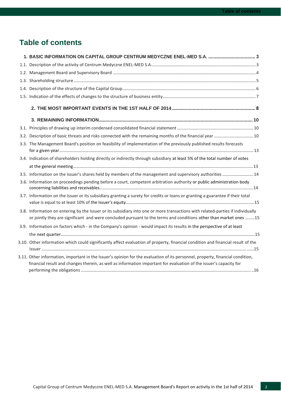# **Table of contents**

| 1. BASIC INFORMATION ON CAPITAL GROUP CENTRUM MEDYCZNE ENEL-MED S.A.  3                                                                                                                                                                              |  |
|------------------------------------------------------------------------------------------------------------------------------------------------------------------------------------------------------------------------------------------------------|--|
|                                                                                                                                                                                                                                                      |  |
|                                                                                                                                                                                                                                                      |  |
|                                                                                                                                                                                                                                                      |  |
|                                                                                                                                                                                                                                                      |  |
|                                                                                                                                                                                                                                                      |  |
|                                                                                                                                                                                                                                                      |  |
|                                                                                                                                                                                                                                                      |  |
|                                                                                                                                                                                                                                                      |  |
| 3.2. Description of basic threats and risks connected with the remaining months of the financial year  10                                                                                                                                            |  |
| 3.3. The Management Board's position on feasibility of implementation of the previously published results forecasts                                                                                                                                  |  |
| 3.4. Indication of shareholders holding directly or indirectly through subsidiary at least 5% of the total number of votes                                                                                                                           |  |
|                                                                                                                                                                                                                                                      |  |
| 3.5. Information on the Issuer's shares held by members of the management and supervisory authorities  14                                                                                                                                            |  |
| 3.6. Information on proceedings pending before a court, competent arbitration authority or public administration body                                                                                                                                |  |
| 3.7. Information on the Issuer or its subsidiary granting a surety for credits or loans or granting a guarantee if their total                                                                                                                       |  |
| 3.8. Information on entering by the Issuer or its subsidiary into one or more transactions with related-parties if individually<br>or jointly they are significant and were concluded pursuant to the terms and conditions other than market ones 15 |  |
| 3.9. Information on factors which - in the Company's opinion - would impact its results in the perspective of at least                                                                                                                               |  |
|                                                                                                                                                                                                                                                      |  |
| 3.10. Other information which could significantly affect evaluation of property, financial condition and financial result of the                                                                                                                     |  |
| 3.11. Other information, important in the Issuer's opinion for the evaluation of its personnel, property, financial condition,<br>financial result and changes therein, as well as information important for evaluation of the issuer's capacity for |  |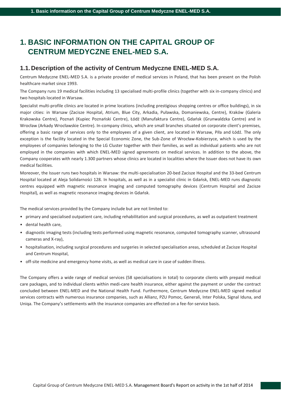# <span id="page-2-0"></span>**1. BASIC INFORMATION ON THE CAPITAL GROUP OF CENTRUM MEDYCZNE ENEL-MED S.A.**

## <span id="page-2-1"></span>**1.1.Description of the activity of Centrum Medyczne ENEL-MED S.A.**

Centrum Medyczne ENEL-MED S.A. is a private provider of medical services in Poland, that has been present on the Polish healthcare market since 1993.

The Company runs 19 medical facilities including 13 specialised multi-profile clinics (together with six in-company clinics) and two hospitals located in Warsaw.

Specialist multi-profile clinics are located in prime locations (including prestigious shopping centres or office buildings), in six major cities: in Warsaw (Zacisze Hospital, Atrium, Blue City, Arkadia, Puławska, Domaniewska, Centre), Kraków (Galeria Krakowska Centre), Poznań (Kupiec Poznański Centre), Łódź (Manufaktura Centre), Gdańsk (Grunwaldzka Centre) and in Wrocław (Arkady Wrocławskie Centre). In-company clinics, which are small branches situated on corporate client's premises, offering a basic range of services only to the employees of a given client, are located in Warsaw, Piła and Łódź. The only exception is the facility located in the Special Economic Zone, the Sub-Zone of Wrocław-Kobierzyce, which is used by the employees of companies belonging to the LG Cluster together with their families, as well as individual patients who are not employed in the companies with which ENEL-MED signed agreements on medical services. In addition to the above, the Company cooperates with nearly 1.300 partners whose clinics are located in localities where the Issuer does not have its own medical facilities.

Moreover, the Issuer runs two hospitals in Warsaw: the multi-specialisation 20-bed Zacisze Hospital and the 33-bed Centrum Hospital located at Aleja Solidarności 128. In hospitals, as well as in a specialist clinic in Gdańsk, ENEL-MED runs diagnostic centres equipped with magnetic resonance imaging and computed tomography devices (Centrum Hospital and Zacisze Hospital), as well as magnetic resonance imaging devices in Gdańsk.

The medical services provided by the Company include but are not limited to:

- primary and specialised outpatient care, including rehabilitation and surgical procedures, as well as outpatient treatment
- dental health care,
- diagnostic imaging tests (including tests performed using magnetic resonance, computed tomography scanner, ultrasound cameras and X-ray),
- hospitalisation, including surgical procedures and surgeries in selected specialisation areas, scheduled at Zacisze Hospital and Centrum Hospital,
- off-site medicine and emergency home visits, as well as medical care in case of sudden illness.

The Company offers a wide range of medical services (58 specialisations in total) to corporate clients with prepaid medical care packages, and to individual clients within medi-care health insurance, either against the payment or under the contract concluded between ENEL-MED and the National Health Fund. Furthermore, Centrum Medyczne ENEL-MED signed medical services contracts with numerous insurance companies, such as Allianz, PZU Pomoc, Generali, Inter Polska, Signal Iduna, and Uniqa. The Company's settlements with the insurance companies are effected on a fee-for-service basis.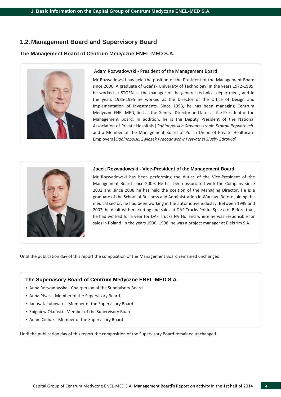## <span id="page-3-0"></span>**1.2. Management Board and Supervisory Board**

#### **The Management Board of Centrum Medyczne ENEL-MED S.A.**



#### Adam Rozwadowski - President of the Management Board

Mr Rozwadowski has held the position of the President of the Management Board since 2006. A graduate of Gdańsk University of Technology. In the years 1972-1985, he worked at STOEN as the manager of the general technical department, and in the years 1985-1995 he worked as the Director of the Office of Design and Implementation of Investments. Since 1993, he has been managing Centrum Medyczne ENEL-MED, first as the General Director and later as the President of the Management Board. In addition, he is the Deputy President of the National Association of Private Hospitals [*Ogólnopolskie Stowarzyszenie Szpitali Prywatnych*] and a Member of the Management Board of Polish Union of Private Healthcare Employers [*Ogólnopolski Związek Pracodawców Prywatnej Służby Zdrowia*].



#### **Jacek Rozwadowski - Vice-President of the Management Board**

Mr Rozwadowski has been performing the duties of the Vice-President of the Management Board since 2009. He has been associated with the Company since 2002 and since 2008 he has held the position of the Managing Director. He is a graduate of the School of Business and Administration in Warsaw. Before joining the medical sector, he had been working in the automotive industry. Between 1999 and 2002, he dealt with marketing and sales at DAF Trucks Polska Sp. z o.o. Before that, he had worked for a year for DAF Trucks NV Holland where he was responsible for sales in Poland. In the years 1996–1998, he was a project manager at Elektrim S.A.

Until the publication day of this report the composition of the Management Board remained unchanged.

#### **The Supervisory Board of Centrum Medyczne ENEL-MED S.A.**

- Anna Rozwadowska Chairperson of the Supervisory Board
- Anna Piszcz Member of the Supervisory Board
- Janusz Jakubowski Member of the Supervisory Board
- Zbigniew Okoński Member of the Supervisory Board
- Adam Ciuhak Member of the Supervisory Board

Until the publication day of this report the composition of the Supervisory Board remained unchanged.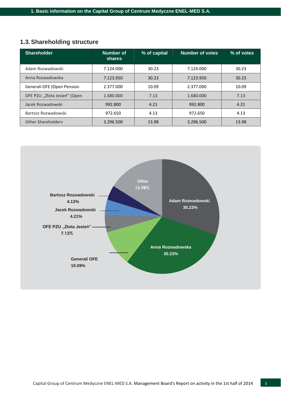## <span id="page-4-0"></span>**1.3.Shareholding structure**

| <b>Shareholder</b>           | Number of<br><b>shares</b> | % of capital | Number of votes | % of votes |
|------------------------------|----------------------------|--------------|-----------------|------------|
| Adam Rozwadowski             | 7.124.000                  | 30.23        | 7.124.000       | 30.23      |
| Anna Rozwadowska             | 7.123.950                  | 30.23        | 7.123.950       | 30.23      |
| Generali OFE (Open Pension   | 2.377.000                  | 10.09        | 2.377.000       | 10.09      |
| OFE PZU "Złota Jesień" (Open | 1.680.000                  | 7.13         | 1.680.000       | 7.13       |
| Jacek Rozwadowski            | 992.800                    | 4.21         | 992.800         | 4.21       |
| Bartosz Rozwadowski          | 972.650                    | 4.13         | 972.650         | 4.13       |
| <b>Other Shareholders</b>    | 3.296.500                  | 13.98        | 3.296.500       | 13.98      |

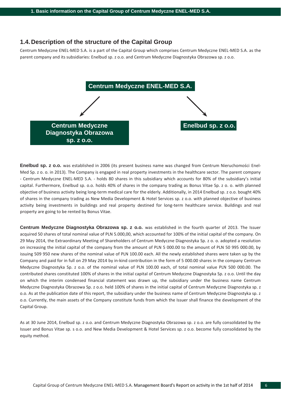### <span id="page-5-0"></span>**1.4.Description of the structure of the Capital Group**

Centrum Medyczne ENEL-MED S.A. is a part of the Capital Group which comprises Centrum Medyczne ENEL-MED S.A. as the parent company and its subsidiaries: Enelbud sp. z o.o. and Centrum Medyczne Diagnostyka Obrazowa sp. z o.o.



**Enelbud sp. z o.o.** was established in 2006 (its present business name was changed from Centrum Nieruchomości Enel-Med Sp. z o. o. in 2013). The Company is engaged in real property investments in the healthcare sector. The parent company - Centrum Medyczne ENEL-MED S.A. - holds 80 shares in this subsidiary which accounts for 80% of the subsidiary's initial capital. Furthermore, Enelbud sp. o.o. holds 40% of shares in the company trading as Bonus Vitae Sp. z o. o. with planned objective of business activity being long-term medical care for the elderly. Additionally, in 2014 Enelbud sp. z o.o. bought 40% of shares in the company trading as New Media Development & Hotel Services sp. z o.o. with planned objective of business activity being investments in buildings and real property destined for long-term healthcare service. Buildings and real property are going to be rented by Bonus Vitae.

**Centrum Medyczne Diagnostyka Obrazowa sp. z o.o.** was established in the fourth quarter of 2013. The Issuer acquired 50 shares of total nominal value of PLN 5.000,00, which accounted for 100% of the initial capital of the company. On 29 May 2014, the Extraordinary Meeting of Shareholders of Centrum Medyczne Diagnostyka Sp. z o. o. adopted a resolution on increasing the initial capital of the company from the amount of PLN 5 000.00 to the amount of PLN 50 995 000.00, by issuing 509 950 new shares of the nominal value of PLN 100.00 each. All the newly established shares were taken up by the Company and paid for in full on 29 May 2014 by in-kind contribution in the form of 5 000.00 shares in the company Centrum Medyczne Diagnostyka Sp. z o.o. of the nominal value of PLN 100.00 each, of total nominal value PLN 500 000.00. The contributed shares constituted 100% of shares in the initial capital of Centrum Medyczne Diagnostyka Sp. z o.o. Until the day on which the interim condensed financial statement was drawn up, the subsidiary under the business name Centrum Medyczne Diagnostyka Obrazowa Sp. z o.o. held 100% of shares in the initial capital of Centrum Medyczne Diagnostyka sp. z o.o. As at the publication date of this report, the subsidiary under the business name of Centrum Medyczne Diagnostyka sp. z o.o. Currently, the main assets of the Company constitute funds from which the Issuer shall finance the development of the Capital Group.

As at 30 June 2014, Enelbud sp. z o.o. and Centrum Medyczne Diagnostyka Obrazowa sp. z o.o. are fully consolidated by the Issuer and Bonus Vitae sp. s o.o. and New Media Development & Hotel Services sp. z o.o. become fully consolidated by the equity method.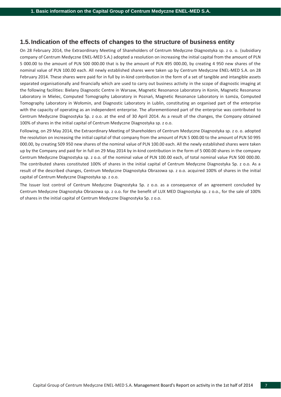## <span id="page-6-0"></span>**1.5. Indication of the effects of changes to the structure of business entity**

On 28 February 2014, the Extraordinary Meeting of Shareholders of Centrum Medyczne Diagnostyka sp. z o. o. (subsidiary company of Centrum Medyczne ENEL-MED S.A.) adopted a resolution on increasing the initial capital from the amount of PLN 5 000.00 to the amount of PLN 500 000.00 that is by the amount of PLN 495 000.00, by creating 4 950 new shares of the nominal value of PLN 100.00 each. All newly established shares were taken up by Centrum Medyczne ENEL-MED S.A. on 28 February 2014. These shares were paid for in full by in-kind contribution in the form of a set of tangible and intangible assets separated organisationally and financially which are used to carry out business activity in the scope of diagnostic imaging at the following facilities: Bielany Diagnostic Centre in Warsaw, Magnetic Resonance Laboratory in Konin, Magnetic Resonance Laboratory in Mielec, Computed Tomography Laboratory in Poznań, Magnetic Resonance Laboratory in Łomża, Computed Tomography Laboratory in Wołomin, and Diagnostic Laboratory in Lublin, constituting an organised part of the enterprise with the capacity of operating as an independent enterprise. The aforementioned part of the enterprise was contributed to Centrum Medyczne Diagnostyka Sp. z o.o. at the end of 30 April 2014. As a result of the changes, the Company obtained 100% of shares in the initial capital of Centrum Medyczne Diagnostyka sp. z o.o.

Following, on 29 May 2014, the Extraordinary Meeting of Shareholders of Centrum Medyczne Diagnostyka sp. z o. o. adopted the resolution on increasing the initial capital of that company from the amount of PLN 5 000.00 to the amount of PLN 50 995 000.00, by creating 509 950 new shares of the nominal value of PLN 100.00 each. All the newly established shares were taken up by the Company and paid for in full on 29 May 2014 by in-kind contribution in the form of 5 000.00 shares in the company Centrum Medyczne Diagnostyka sp. z o.o. of the nominal value of PLN 100.00 each, of total nominal value PLN 500 000.00. The contributed shares constituted 100% of shares in the initial capital of Centrum Medyczne Diagnostyka Sp. z o.o. As a result of the described changes, Centrum Medyczne Diagnostyka Obrazowa sp. z o.o. acquired 100% of shares in the initial capital of Centrum Medyczne Diagnostyka sp. z o.o.

The Issuer lost control of Centrum Medyczne Diagnostyka Sp. z o.o. as a consequence of an agreement concluded by Centrum Medyczne Diagnostyka Obrazowa sp. z o.o. for the benefit of LUX MED Diagnostyka sp. z o.o., for the sale of 100% of shares in the initial capital of Centrum Medyczne Diagnostyka Sp. z o.o.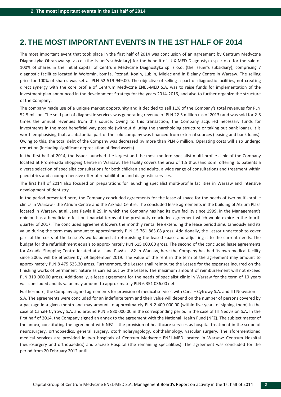## <span id="page-7-0"></span>**2. THE MOST IMPORTANT EVENTS IN THE 1ST HALF OF 2014**

The most important event that took place in the first half of 2014 was conclusion of an agreement by Centrum Medyczne Diagnostyka Obrazowa sp. z o.o. (the Issuer's subsidiary) for the benefit of LUX MED Diagnostyka sp. z o.o. for the sale of 100% of shares in the initial capital of Centrum Medyczne Diagnostyka sp. z o.o. (the Issuer's subsidiary), comprising 7 diagnostic facilities located in Wołomin, Łomża, Poznań, Konin, Lublin, Mielec and in Bielany Centre in Warsaw. The selling price for 100% of shares was set at PLN 52 519 949.00. The objective of selling a part of diagnostic facilities, not creating direct synergy with the core profile of Centrum Medyczne ENEL-MED S.A. was to raise funds for implementation of the investment plan announced in the development Strategy for the years 2014-2016, and also to further organize the structure of the Company.

The company made use of a unique market opportunity and it decided to sell 11% of the Company's total revenues for PLN 52.5 million. The sold part of diagnostic services was generating revenue of PLN 22.5 million (as of 2013) and was sold for 2.5 times the annual revenues from this source. Owing to this transaction, the Company acquired necessary funds for investments in the most beneficial way possible (without diluting the shareholding structure or taking out bank loans). It is worth emphasising that, a substantial part of the sold company was financed from external sources (leasing and bank loans). Owing to this, the total debt of the Company was decreased by more than PLN 6 million. Operating costs will also undergo reduction (including significant depreciation of fixed assets).

In the first half of 2014, the Issuer launched the largest and the most modern specialist multi-profile clinic of the Company located at Promenada Shopping Centre in Warsaw. The facility covers the area of 1.5 thousand sqm. offering its patients a diverse selection of specialist consultations for both children and adults, a wide range of consultations and treatment within paediatrics and a comprehensive offer of rehabilitation and diagnostic services.

The first half of 2014 also focused on preparations for launching specialist multi-profile facilities in Warsaw and intensive development of dentistry.

In the period presented here, the Company concluded agreements for the lease of space for the needs of two multi-profile clinics in Warsaw - the Atrium Centre and the Arkadia Centre. The concluded lease agreements in the building of Atrium Plaza located in Warsaw, at al. Jana Pawła II 29, in which the Company has had its own facility since 1999, in the Management's opinion has a beneficial effect on financial terms of the previously concluded agreement which would expire in the fourth quarter of 2017. The concluded agreement lowers the monthly rental fee extending the lease period simultaneously and its value during the term may amount to approximately PLN 15 761 863.08 gross. Additionally, the Lessor undertook to cover part of the costs of the Lessee's works aimed at refurbishing the leased space and adjusting it to the current needs. The budget for the refurbishment equals to approximately PLN 615 000.00 gross. The second of the concluded lease agreements for Arkadia Shopping Centre located at al. Jana Pawła II 82 in Warsaw, here the Company has had its own medical facility since 2005, will be effective by 29 September 2019. The value of the rent in the term of the agreement may amount to approximately PLN 8 475 523.30 gross. Furthermore, the Lessor shall reimburse the Lessee for the expenses incurred on the finishing works of permanent nature as carried out by the Lessee. The maximum amount of reimbursement will not exceed PLN 310 000.00 gross. Additionally, a lease agreement for the needs of specialist clinic in Warsaw for the term of 10 years was concluded and its value may amount to approximately PLN 6 351 036.00 net.

Furthermore, the Company signed agreements for provision of medical services with Canal+ Cyfrowy S.A. and ITI Neovision S.A. The agreements were concluded for an indefinite term and their value will depend on the number of persons covered by a package in a given month and may amount to approximately PLN 2 400 000.00 (within five years of signing them) in the case of Canal+ Cyfrowy S.A. and around PLN 5 880 000.00 in the corresponding period in the case of ITI Neovision S.A. In the first half of 2014, the Company signed an annex to the agreement with the National Health Fund (NFZ). The subject matter of the annex, constituting the agreement with NFZ is the provision of healthcare services as hospital treatment in the scope of neurosurgery, orthopaedics, general surgery, otorhinolaryngology, ophthalmology, vascular surgery. The aforementioned medical services are provided in two hospitals of Centrum Medyczne ENEL-MED located in Warsaw: Centrum Hospital (neurosurgery and orthopaedics) and Zacisze Hospital (the remaining specialities). The agreement was concluded for the period from 20 February 2012 until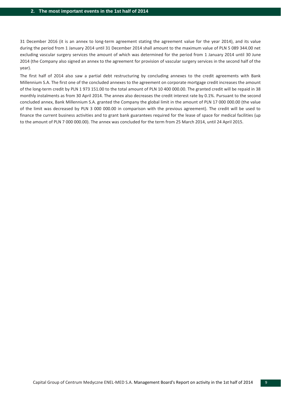31 December 2016 (it is an annex to long-term agreement stating the agreement value for the year 2014), and its value during the period from 1 January 2014 until 31 December 2014 shall amount to the maximum value of PLN 5 089 344.00 net excluding vascular surgery services the amount of which was determined for the period from 1 January 2014 until 30 June 2014 (the Company also signed an annex to the agreement for provision of vascular surgery services in the second half of the year).

The first half of 2014 also saw a partial debt restructuring by concluding annexes to the credit agreements with Bank Millennium S.A. The first one of the concluded annexes to the agreement on corporate mortgage credit increases the amount of the long-term credit by PLN 1 973 151.00 to the total amount of PLN 10 400 000.00. The granted credit will be repaid in 38 monthly instalments as from 30 April 2014. The annex also decreases the credit interest rate by 0.1%. Pursuant to the second concluded annex, Bank Millennium S.A. granted the Company the global limit in the amount of PLN 17 000 000.00 (the value of the limit was decreased by PLN 3 000 000.00 in comparison with the previous agreement). The credit will be used to finance the current business activities and to grant bank guarantees required for the lease of space for medical facilities (up to the amount of PLN 7 000 000.00). The annex was concluded for the term from 25 March 2014, until 24 April 2015.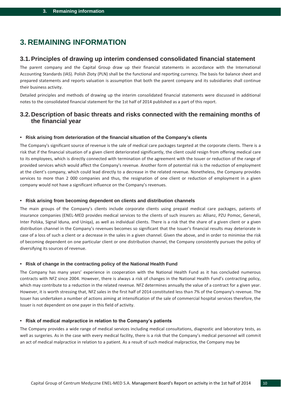## <span id="page-9-0"></span>**3. REMAINING INFORMATION**

## <span id="page-9-1"></span>**3.1.Principles of drawing up interim condensed consolidated financial statement**

The parent company and the Capital Group draw up their financial statements in accordance with the International Accounting Standards (IAS). Polish Zloty (PLN) shall be the functional and reporting currency. The basis for balance sheet and prepared statements and reports valuation is assumption that both the parent company and its subsidiaries shall continue their business activity.

Detailed principles and methods of drawing up the interim consolidated financial statements were discussed in additional notes to the consolidated financial statement for the 1st half of 2014 published as a part of this report.

## <span id="page-9-2"></span>**3.2.Description of basic threats and risks connected with the remaining months of the financial year**

#### **• Risk arising from deterioration of the financial situation of the Company's clients**

The Company's significant source of revenue is the sale of medical care packages targeted at the corporate clients. There is a risk that if the financial situation of a given client deteriorated significantly, the client could resign from offering medical care to its employees, which is directly connected with termination of the agreement with the Issuer or reduction of the range of provided services which would affect the Company's revenue. Another form of potential risk is the reduction of employment at the client's company, which could lead directly to a decrease in the related revenue. Nonetheless, the Company provides services to more than 2 000 companies and thus, the resignation of one client or reduction of employment in a given company would not have a significant influence on the Company's revenues.

#### **• Risk arising from becoming dependent on clients and distribution channels**

The main groups of the Company's clients include corporate clients using prepaid medical care packages, patients of insurance companies (ENEL-MED provides medical services to the clients of such insurers as: Allianz, PZU Pomoc, Generali, Inter Polska, Signal Iduna, and Uniqa), as well as individual clients. There is a risk that the share of a given client or a given distribution channel in the Company's revenues becomes so significant that the Issuer's financial results may deteriorate in case of a loss of such a client or a decrease in the sales in a given channel. Given the above, and in order to minimise the risk of becoming dependent on one particular client or one distribution channel, the Company consistently pursues the policy of diversifying its sources of revenue.

#### **• Risk of change in the contracting policy of the National Health Fund**

The Company has many years' experience in cooperation with the National Health Fund as it has concluded numerous contracts with NFZ since 2004. However, there is always a risk of changes in the National Health Fund's contracting policy, which may contribute to a reduction in the related revenue. NFZ determines annually the value of a contract for a given year. However, it is worth stressing that, NFZ sales in the first half of 2014 constituted less than 7% of the Company's revenue. The Issuer has undertaken a number of actions aiming at intensification of the sale of commercial hospital services therefore, the Issuer is not dependent on one payer in this field of activity.

#### **• Risk of medical malpractice in relation to the Company's patients**

The Company provides a wide range of medical services including medical consultations, diagnostic and laboratory tests, as well as surgeries. As in the case with every medical facility, there is a risk that the Company's medical personnel will commit an act of medical malpractice in relation to a patient. As a result of such medical malpractice, the Company may be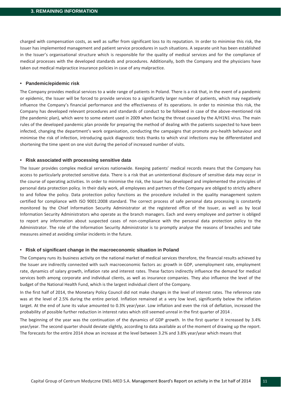charged with compensation costs, as well as suffer from significant loss to its reputation. In order to minimise this risk, the Issuer has implemented management and patient service procedures in such situations. A separate unit has been established in the Issuer's organisational structure which is responsible for the quality of medical services and for the compliance of medical processes with the developed standards and procedures. Additionally, both the Company and the physicians have taken out medical malpractice insurance policies in case of any malpractice.

#### **• Pandemic/epidemic risk**

The Company provides medical services to a wide range of patients in Poland. There is a risk that, in the event of a pandemic or epidemic, the Issuer will be forced to provide services to a significantly larger number of patients, which may negatively influence the Company's financial performance and the effectiveness of its operations. In order to minimise this risk, the Company has developed relevant procedures and standards of conduct to be followed in case of the above-mentioned risk (the pandemic plan), which were to some extent used in 2009 when facing the threat caused by the A/H1N1 virus. The main rules of the developed pandemic plan provide for preparing the method of dealing with the patients suspected to have been infected, changing the department's work organisation, conducting the campaigns that promote pro-health behaviour and minimise the risk of infection, introducing quick diagnostic tests thanks to which viral infections may be differentiated and shortening the time spent on one visit during the period of increased number of visits.

#### **• Risk associated with processing sensitive data**

The Issuer provides complex medical services nationwide. Keeping patients' medical records means that the Company has access to particularly protected sensitive data. There is a risk that an unintentional disclosure of sensitive data may occur in the course of operating activities. In order to minimise the risk, the Issuer has developed and implemented the principles of personal data protection policy. In their daily work, all employees and partners of the Company are obliged to strictly adhere to and follow the policy. Data protection policy functions as the procedure included in the quality management system certified for compliance with ISO 9001:2008 standard. The correct process of safe personal data processing is constantly monitored by the Chief Information Security Administrator at the registered office of the Issuer, as well as by local Information Security Administrators who operate as the branch managers. Each and every employee and partner is obliged to report any information about suspected cases of non-compliance with the personal data protection policy to the Administrator. The role of the Information Security Administrator is to promptly analyse the reasons of breaches and take measures aimed at avoiding similar incidents in the future.

#### **• Risk of significant change in the macroeconomic situation in Poland**

The Company runs its business activity on the national market of medical services therefore, the financial results achieved by the Issuer are indirectly connected with such macroeconomic factors as: growth in GDP, unemployment rate, employment rate, dynamics of salary growth, inflation rate and interest rates. These factors indirectly influence the demand for medical services both among corporate and individual clients, as well as insurance companies. They also influence the level of the budget of the National Health Fund, which is the largest individual client of the Company.

In the first half of 2014, the Monetary Policy Council did not make changes in the level of interest rates. The reference rate was at the level of 2.5% during the entire period. Inflation remained at a very low level, significantly below the inflation target. At the end of June its value amounted to 0.3% year/year. Low inflation and even the risk of deflation, increased the probability of possible further reduction in interest rates which still seemed unreal in the first quarter of 2014 .

The beginning of the year was the continuation of the dynamics of GDP growth. In the first quarter it increased by 3.4% year/year. The second quarter should deviate slightly, according to data available as of the moment of drawing up the report. The forecasts for the entire 2014 show an increase at the level between 3.2% and 3.8% year/year which means that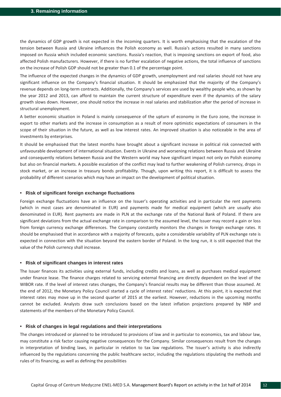the dynamics of GDP growth is not expected in the incoming quarters. It is worth emphasising that the escalation of the tension between Russia and Ukraine influences the Polish economy as well. Russia's actions resulted in many sanctions imposed on Russia which included economic sanctions. Russia's reaction, that is imposing sanctions on export of food, also affected Polish manufacturers. However, if there is no further escalation of negative actions, the total influence of sanctions on the increase of Polish GDP should not be greater than 0.1 of the percentage point.

The influence of the expected changes in the dynamics of GDP growth, unemployment and real salaries should not have any significant influence on the Company's financial situation. It should be emphasized that the majority of the Company's revenue depends on long-term contracts. Additionally, the Company's services are used by wealthy people who, as shown by the year 2012 and 2013, can afford to maintain the current structure of expenditure even if the dynamics of the salary growth slows down. However, one should notice the increase in real salaries and stabilization after the period of increase in structural unemployment.

A better economic situation in Poland is mainly consequence of the upturn of economy in the Euro zone, the increase in export to other markets and the increase in consumption as a result of more optimistic expectations of consumers in the scope of their situation in the future, as well as low interest rates. An improved situation is also noticeable in the area of investments by enterprises.

It should be emphasised that the latest months have brought about a significant increase in political risk connected with unfavourable development of international situation. Events in Ukraine and worsening relations between Russia and Ukraine and consequently relations between Russia and the Western world may have significant impact not only on Polish economy but also on financial markets. A possible escalation of the conflict may lead to further weakening of Polish currency, drops in stock market, or an increase in treasury bonds profitability. Though, upon writing this report, it is difficult to assess the probability of different scenarios which may have an impact on the development of political situation.

#### **• Risk of significant foreign exchange fluctuations**

Foreign exchange fluctuations have an influence on the Issuer's operating activities and in particular the rent payments (which in most cases are denominated in EUR) and payments made for medical equipment (which are usually also denominated in EUR). Rent payments are made in PLN at the exchange rate of the National Bank of Poland. If there are significant deviations from the actual exchange rate in comparison to the assumed level, the Issuer may record a gain or loss from foreign currency exchange differences. The Company constantly monitors the changes in foreign exchange rates. It should be emphasised that in accordance with a majority of forecasts, quite a considerable variability of PLN exchange rate is expected in connection with the situation beyond the eastern border of Poland. In the long run, it is still expected that the value of the Polish currency shall increase.

#### **• Risk of significant changes in interest rates**

The Issuer finances its activities using external funds, including credits and loans, as well as purchases medical equipment under finance lease. The finance charges related to servicing external financing are directly dependent on the level of the WIBOR rate. If the level of interest rates changes, the Company's financial results may be different than those assumed. At the end of 2012, the Monetary Policy Council started a cycle of interest rates' reductions. At this point, it is expected that interest rates may move up in the second quarter of 2015 at the earliest. However, reductions in the upcoming months cannot be excluded. Analysts draw such conclusions based on the latest inflation projections prepared by NBP and statements of the members of the Monetary Policy Council.

#### **• Risk of changes in legal regulations and their interpretations**

The changes introduced or planned to be introduced to provisions of law and in particular to economics, tax and labour law, may constitute a risk factor causing negative consequences for the Company. Similar consequences result from the changes in interpretation of binding laws, in particular in relation to tax law regulations. The Issuer's activity is also indirectly influenced by the regulations concerning the public healthcare sector, including the regulations stipulating the methods and rules of its financing, as well as defining the possibilities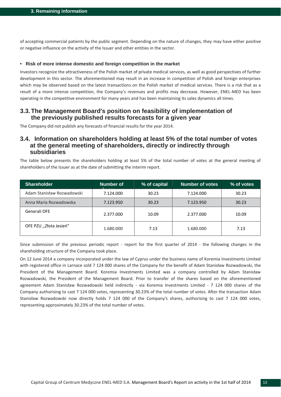of accepting commercial patients by the public segment. Depending on the nature of changes, they may have either positive or negative influence on the activity of the Issuer and other entities in the sector.

#### **• Risk of more intense domestic and foreign competition in the market**

Investors recognize the attractiveness of the Polish market of private medical services, as well as good perspectives of further development in this sector. The aforementioned may result in an increase in competition of Polish and foreign enterprises which may be observed based on the latest transactions on the Polish market of medical services. There is a risk that as a result of a more intense competition, the Company's revenues and profits may decrease. However, ENEL-MED has been operating in the competitive environment for many years and has been maintaining its sales dynamics all times.

## **3.3.The Management Board's position on feasibility of implementation of the previously published results forecasts for a given year**

The Company did not publish any forecasts of financial results for the year 2014.

## **3.4. Information on shareholders holding at least 5% of the total number of votes at the general meeting of shareholders, directly or indirectly through subsidiaries**

The table below presents the shareholders holding at least 5% of the total number of votes at the general meeting of shareholders of the Issuer as at the date of submitting the interim report.

| <b>Shareholder</b>         | Number of | % of capital | <b>Number of votes</b> | % of votes |
|----------------------------|-----------|--------------|------------------------|------------|
| Adam Stanisław Rozwadowski | 7.124.000 | 30.23        | 7.124.000              | 30.23      |
| Anna Maria Rozwadowska     | 7.123.950 | 30.23        | 7.123.950              | 30.23      |
| Generali OFE               | 2.377.000 | 10.09        | 2.377.000              | 10.09      |
| OFE PZU "Złota Jesień"     | 1.680.000 | 7.13         | 1.680.000              | 7.13       |

Since submission of the previous periodic report - report for the first quarter of 2014 - the following changes in the shareholding structure of the Company took place.

On 12 June 2014 a company incorporated under the law of Cyprus under the business name of Koremia Investments Limited with registered office in Larnace sold 7 124 000 shares of the Company for the benefit of Adam Stanisław Rozwadowski, the President of the Management Board. Koremia Investments Limited was a company controlled by Adam Stanisław Rozwadowski, the President of the Management Board. Prior to transfer of the shares based on the aforementioned agreement Adam Stanisław Rozwadowski held indirectly - via Koremia Investments Limited - 7 124 000 shares of the Company authorising to cast 7 124 000 votes, representing 30.23% of the total number of votes. After the transaction Adam Stanisław Rozwadowski now directly holds 7 124 000 of the Company's shares, authorising to cast 7 124 000 votes, representing approximately 30.23% of the total number of votes.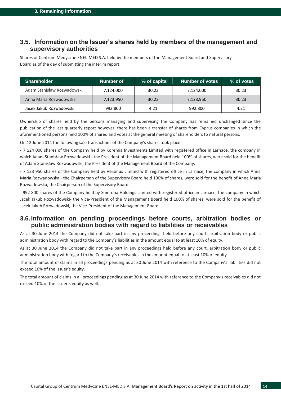## <span id="page-13-0"></span>**3.5. Information on the Issuer's shares held by members of the management and supervisory authorities**

Shares of Centrum Medyczne ENEL-MED S.A. held by the members of the Management Board and Supervisory Board as of the day of submitting the interim report.

| <b>Shareholder</b>         | Number of | % of capital | Number of votes | $%$ of votes |
|----------------------------|-----------|--------------|-----------------|--------------|
| Adam Stanisław Rozwadowski | 7.124.000 | 30.23        | 7.124.000       | 30.23        |
| Anna Maria Rozwadowska     | 7.123.950 | 30.23        | 7.123.950       | 30.23        |
| Jacek Jakub Rozwadowski    | 992.800   | 4.21         | 992.800         | 4.21         |

Ownership of shares held by the persons managing and supervising the Company has remained unchanged since the publication of the last quarterly report however, there has been a transfer of shares from Cyprus companies in which the aforementioned persons held 100% of shared and votes at the general meeting of shareholders to natural persons.

On 12 June 2014 the following sale transactions of the Company's shares took place:

- 7 124 000 shares of the Company held by Koremia Investments Limited with registered office in Larnace, the company in which Adam Stanisław Rozwadowski - the President of the Management Board held 100% of shares, were sold for the benefit of Adam Stanisław Rozwadowski, the President of the Management Board of the Company.

- 7 123 950 shares of the Company held by Versinus Limited with registered office in Larnace, the company in which Anna Maria Rozwadowska - the Chairperson of the Supervisory Board held 100% of shares, were sold for the benefit of Anna Maria Rozwadowska, the Chairperson of the Supervisory Board.

- 992 800 shares of the Company held by Smerona Holdings Limited with registered office in Larnace, the company in which Jacek Jakub Rozwadowski- the Vice-President of the Management Board held 100% of shares, were sold for the benefit of Jacek Jakub Rozwadowski, the Vice-President of the Management Board.

## **3.6. Information on pending proceedings before courts, arbitration bodies or public administration bodies with regard to liabilities or receivables**

As at 30 June 2014 the Company did not take part in any proceedings held before any court, arbitration body or public administration body with regard to the Company's liabilities in the amount equal to at least 10% of equity.

As at 30 June 2014 the Company did not take part in any proceedings held before any court, arbitration body or public administration body with regard to the Company's receivables in the amount equal to at least 10% of equity.

The total amount of claims in all proceedings pending as at 30 June 2014 with reference to the Company's liabilities did not exceed 10% of the Issuer's equity.

The total amount of claims in all proceedings pending as at 30 June 2014 with reference to the Company's receivables did not exceed 10% of the Issuer's equity as well.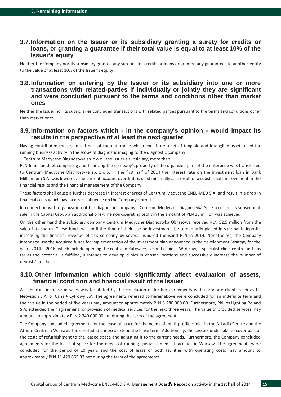## **3.7.Information on the Issuer or its subsidiary granting a surety for credits or loans, or granting a guarantee if their total value is equal to at least 10% of the Issuer's equity**

Neither the Company nor its subsidiary granted any sureties for credits or loans or granted any guarantees to another entity to the value of at least 10% of the Issuer's equity.

## **3.8. Information on entering by the Issuer or its subsidiary into one or more transactions with related-parties if individually or jointly they are significant and were concluded pursuant to the terms and conditions other than market ones**

Neither the Issuer nor its subsidiaries concluded transactions with related parties pursuant to the terms and conditions other than market ones.

## **3.9. Information on factors which - in the company's opinion - would impact its results in the perspective of at least the next quarter**

Having contributed the organized part of the enterprise which constitute a set of tangible and intangible assets used for running business activity in the scope of diagnostic imaging to the diagnostic company:

– Centrum Medyczne Diagnostyka sp. z o.o., the Issuer's subsidiary, more than

PLN 6 million debt comprising and financing the company's property of the organized part of the enterprise was transferred to Centrum Medyczne Diagnostyka sp. z o.o. In the first half of 2014 the interest rate on the investment loan in Bank Millennium S.A. was lowered. The current account overdraft is used minimally as a result of a substantial improvement in the financial results and the financial management of the Company.

These factors shall cause a further decrease in interest charges of Centrum Medyczne ENEL-MED S.A. and result in a drop in financial costs which have a direct influence on the Company's profit.

In connection with organization of the diagnostic company - Centrum Medyczne Diagnostyka Sp. z o.o. and its subsequent sale in the Capital Group an additional one-time non-operating profit in the amount of PLN 38 million was achieved.

On the other hand the subsidiary company Centrum Medyczne Diagnostyka Obrazowa received PLN 52.5 million from the sale of its shares. These funds will until the time of their use on investments be temporarily placed in safe bank deposits increasing the financial revenue of this company by several hundred thousand PLN in 2014. Nonetheless, the Company intends to use the acquired funds for implementation of the investment plan announced in the development Strategy for the years 2014 – 2016, which include opening the centre in Katowice, second clinic in Wrocław, a specialist clinic centre and - as far as the potential is fulfilled, it intends to develop clinics in chosen locations and successively increase the number of dentists' practices.

## <span id="page-14-0"></span>**3.10.Other information which could significantly affect evaluation of assets, financial condition and financial result of the Issuer**

A significant increase in sales was facilitated by the conclusion of further agreements with corporate clients such as ITI Neovision S.A. or Canal+ Cyfrowy S.A. The agreements referred to hereinabove were concluded for an indefinite term and their value in the period of five years may amount to approximately PLN 8 280 000.00. Furthermore, Philips Lighting Poland S.A. extended their agreement for provision of medical services for the next three years. The value of provided services may amount to approximately PLN 2 340 000.00 net during the term of the agreement.

The Company concluded agreements for the lease of space for the needs of multi-profile clinics in the Arkadia Centre and the Atrium Centre in Warsaw. The concluded annexes extend the lease term. Additionally, the Lessors undertake to cover part of the costs of refurbishment to the leased space and adjusting it to the current needs. Furthermore, the Company concluded agreements for the lease of space for the needs of running specialist medical facilities in Warsaw. The agreements were concluded for the period of 10 years and the cost of lease of both facilities with operating costs may amount to approximately PLN 11 429 065.33 net during the term of the agreements.